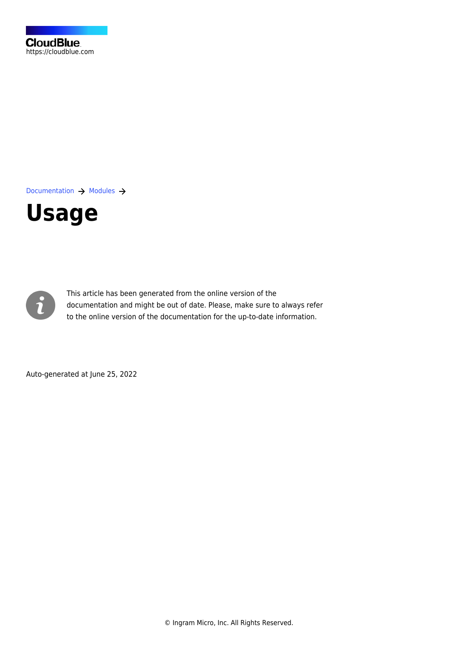[Documentation](https://connect.cloudblue.com/documentation)  $\rightarrow$  [Modules](https://connect.cloudblue.com/community/modules/)  $\rightarrow$ 

# **[Usage](https://connect.cloudblue.com/community/modules/usage_module/)**



This article has been generated from the online version of the documentation and might be out of date. Please, make sure to always refer to the online version of the documentation for the up-to-date information.

Auto-generated at June 25, 2022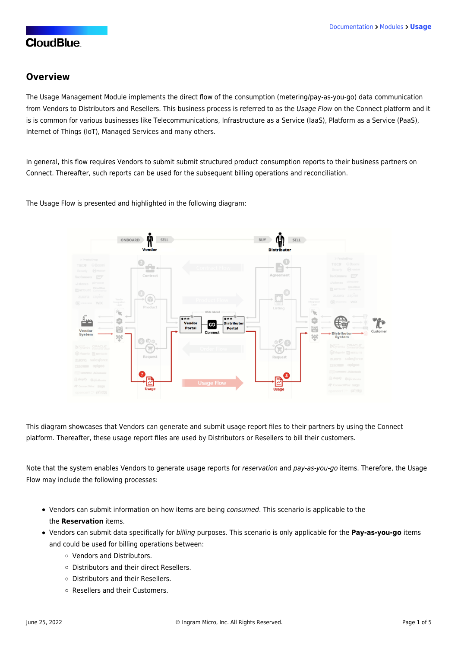#### **Overview**

The Usage Management Module implements the direct flow of the consumption (metering/pay-as-you-go) data communication from Vendors to Distributors and Resellers. This business process is referred to as the Usage Flow on the Connect platform and it is is common for various businesses like Telecommunications, Infrastructure as a Service (IaaS), Platform as a Service (PaaS), Internet of Things (IoT), Managed Services and many others.

In general, this flow requires Vendors to submit submit structured product consumption reports to their business partners on Connect. Thereafter, such reports can be used for the subsequent billing operations and reconciliation.

The Usage Flow is presented and highlighted in the following diagram:



This diagram showcases that Vendors can generate and submit usage report files to their partners by using the Connect platform. Thereafter, these usage report files are used by Distributors or Resellers to bill their customers.

Note that the system enables Vendors to generate usage reports for reservation and pay-as-you-go items. Therefore, the Usage Flow may include the following processes:

- Vendors can submit information on how items are being consumed. This scenario is applicable to the the **Reservation** items.
- Vendors can submit data specifically for billing purposes. This scenario is only applicable for the **Pay-as-you-go** items and could be used for billing operations between:
	- Vendors and Distributors.
	- Distributors and their direct Resellers.
	- Distributors and their Resellers.
	- Resellers and their Customers.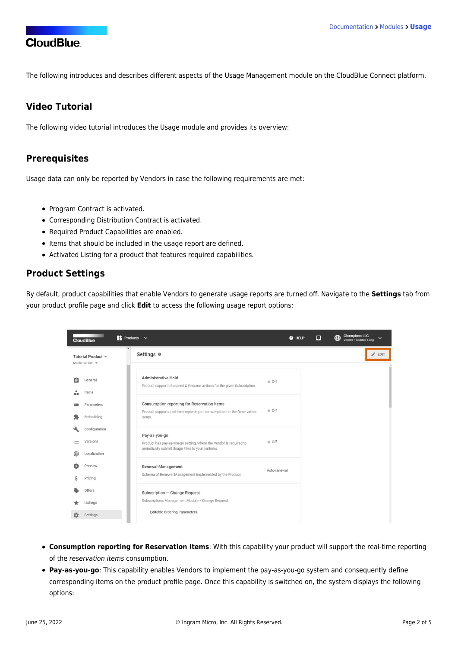The following introduces and describes different aspects of the Usage Management module on the CloudBlue Connect platform.

## **Video Tutorial**

The following video tutorial introduces the Usage module and provides its overview:

#### **Prerequisites**

Usage data can only be reported by Vendors in case the following requirements are met:

- [Program Contract](https://connect.cloudblue.com/community/modules/partners/contracts/program-contracts/) is activated.
- Corresponding [Distribution Contract](https://connect.cloudblue.com/community/modules/partners/contracts/distribution-contracts/) is activated.
- Required [Product Capabilities](https://connect.cloudblue.com/community/modules/usage_module/#Product_Capabilities) are enabled.
- [Items](https://connect.cloudblue.com/community/modules/products/items/) that should be included in the usage report are defined.
- [Activated Listing](https://connect.cloudblue.com/community/modules/listings/) for a product that features required capabilities.

#### **Product Settings**

By default, product capabilities that enable Vendors to generate usage reports are turned off. Navigate to the **Settings** tab from your product profile page and click **Edit** to access the following usage report options:

|   | <b>CloudBlue</b>                               | $\blacksquare$ Products $\vee$                                                                                                   | @ HELP | Ω | $\bigoplus$ | <b>Champions LLC</b><br>Vendor · Clubber Lang | $\checkmark$ |
|---|------------------------------------------------|----------------------------------------------------------------------------------------------------------------------------------|--------|---|-------------|-----------------------------------------------|--------------|
|   | Tutorial Product -<br>Master version $\mathbf$ | Settings @                                                                                                                       |        |   |             |                                               | EDIT         |
| 自 | General                                        | <b>Administrative Hold</b><br>· off<br>Product supports Suspend & Resume actions for the given Subscription.                     |        |   |             |                                               |              |
|   | Items<br>Parameters                            | Consumption reporting for Reservation Items                                                                                      |        |   |             |                                               |              |
|   | Embedding                                      | · Off<br>Product supports real-time reporting of consumption for the Reservation<br>items.                                       |        |   |             |                                               |              |
|   | Configuration                                  | Pay-as-you-go                                                                                                                    |        |   |             |                                               |              |
| ≔ | Versions<br>Localization                       | ● Off<br>Product has pay-as-you-go setting, where the Vendor is required to<br>periodically submit Usage Files to your partners. |        |   |             |                                               |              |
|   | Preview                                        | Renewal Management<br>Auto-renewal                                                                                               |        |   |             |                                               |              |
|   | Pricing<br>Offers                              | Schema of Renewal Management implemented by the Product.                                                                         |        |   |             |                                               |              |
|   | Listings                                       | Subscription - Change Request<br>Subscriptions Management Module > Change Request                                                |        |   |             |                                               |              |
|   | Settings                                       | <b>Editable Ordering Parameters</b>                                                                                              |        |   |             |                                               |              |

- **Consumption reporting for Reservation Items**: With this capability your product will support the real-time reporting of the reservation items consumption.
- **Pay-as-you-go**: This capability enables Vendors to implement the pay-as-you-go system and consequently define corresponding items on the product profile page. Once this capability is switched on, the system displays the following options: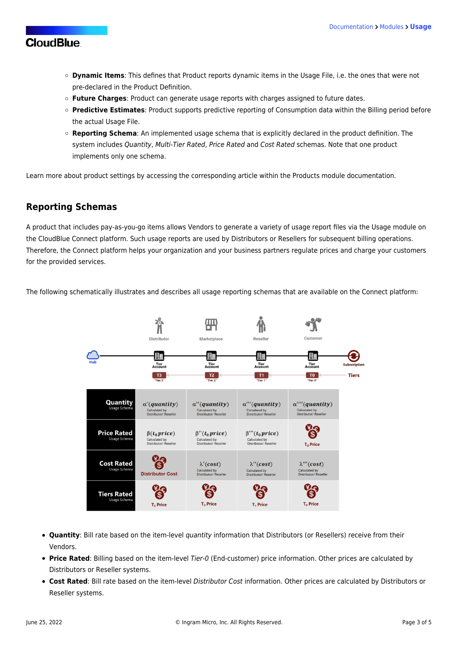- **Dynamic Items**: This defines that Product reports dynamic items in the Usage File, i.e. the ones that were not pre-declared in the Product Definition.
- **Future Charges**: Product can generate usage reports with charges assigned to future dates.
- **Predictive Estimates**: Product supports predictive reporting of Consumption data within the Billing period before the actual Usage File.
- **Reporting Schema**: An implemented usage schema that is explicitly declared in the product definition. The system includes Quantity, Multi-Tier Rated, Price Rated and Cost Rated schemas. Note that one product implements only one schema.

Learn more about product settings by accessing the [corresponding article](https://connect.cloudblue.com/community/modules/products/capabilities/) within the Products module documentation.

#### **Reporting Schemas**

A product that includes pay-as-you-go items allows Vendors to generate a variety of usage report files via the Usage module on the CloudBlue Connect platform. Such usage reports are used by Distributors or Resellers for subsequent billing operations. Therefore, the Connect platform helps your organization and your business partners regulate prices and charge your customers for the provided services.

The following schematically illustrates and describes all usage reporting schemas that are available on the Connect platform:



- **Quantity**: Bill rate based on the item-level quantity information that Distributors (or Resellers) receive from their Vendors.
- **Price Rated**: Billing based on the item-level Tier-0 (End-customer) price information. Other prices are calculated by Distributors or Reseller systems.
- **Cost Rated**: Bill rate based on the item-level Distributor Cost information. Other prices are calculated by Distributors or Reseller systems.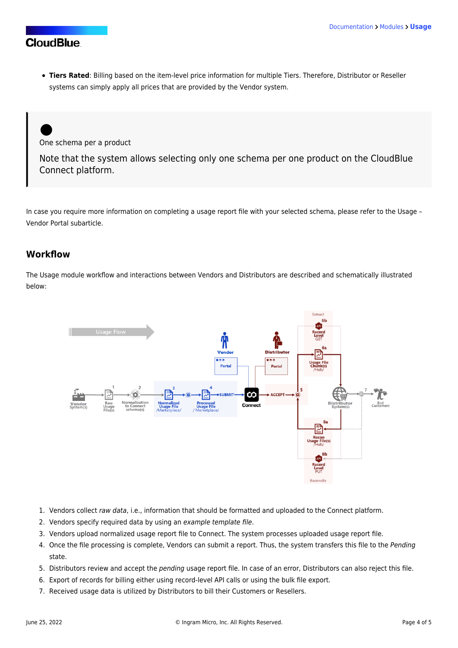**Tiers Rated**: Billing based on the item-level price information for multiple Tiers. Therefore, Distributor or Reseller systems can simply apply all prices that are provided by the Vendor system.

One schema per a product

Note that the system allows selecting only one schema per one product on the CloudBlue Connect platform.

In case you require more information on completing a usage report file with your selected schema, please refer to the [Usage –](https://connect.cloudblue.com/community/modules/usage_module/vendor-portal/#Usage_File_Examples) [Vendor Portal](https://connect.cloudblue.com/community/modules/usage_module/vendor-portal/#Usage_File_Examples) subarticle.

#### **Workflow**

The Usage module workflow and interactions between Vendors and Distributors are described and schematically illustrated below:



- 1. Vendors collect raw data, i.e., information that should be formatted and uploaded to the Connect platform.
- 2. Vendors specify required data by using an example template file.
- 3. Vendors upload normalized usage report file to Connect. The system processes uploaded usage report file.
- 4. Once the file processing is complete, Vendors can submit a report. Thus, the system transfers this file to the Pending state.
- 5. Distributors review and accept the pending usage report file. In case of an error, Distributors can also reject this file.
- 6. Export of records for billing either using record-level API calls or using the bulk file export.
- 7. Received usage data is utilized by Distributors to bill their Customers or Resellers.